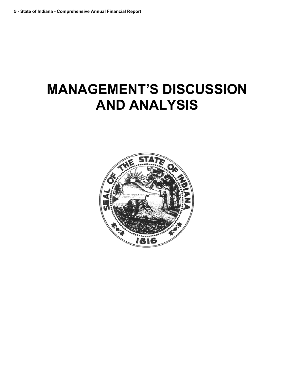# **MANAGEMENT'S DISCUSSION AND ANALYSIS**

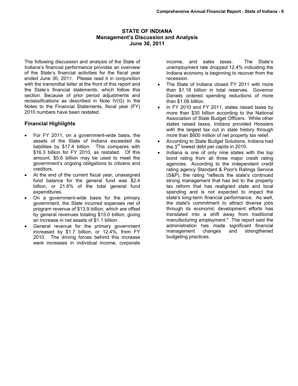## **STATE OF INDIANA Management's Discussion and Analysis June 30, 2011**

The following discussion and analysis of the State of Indiana's financial performance provides an overview of the State's financial activities for the fiscal year ended June 30, 2011. Please read it in conjunction with the transmittal letter at the front of this report and the State's financial statements, which follow this section. Because of prior period adjustments and reclassifications as described in Note IV(G) in the Notes to the Financial Statements, fiscal year (FY) 2010 numbers have been restated.

## **Financial Highlights**

- For FY 2011, on a government-wide basis, the assets of the State of Indiana exceeded its liabilities by \$17.4 billion. This compares with \$16.3 billion for FY 2010, as restated. Of this amount, \$5.6 billion may be used to meet the government's ongoing obligations to citizens and creditors.
- At the end of the current fiscal year, unassigned fund balance for the general fund was \$2.4 billion, or 21.6% of the total general fund expenditures.
- On a government-wide basis for the primary government, the State incurred expenses net of program revenue of \$13.9 billion, which are offset by general revenues totaling \$15.0 billion, giving an increase in net assets of \$1.1 billion.
- General revenue for the primary government increased by \$1.7 billion, or 12.4%, from FY 2010. The driving forces behind this increase were increases in individual income, corporate

income, and sales taxes. The State's unemployment rate dropped 12.4% indicating the Indiana economy is beginning to recover from the recession.

- The State of Indiana closed FY 2011 with more than \$1.18 billion in total reserves. Governor Daniels ordered spending reductions of more than \$1.06 billion.
- In FY 2010 and FY 2011, states raised taxes by more than \$30 billion according to the National Association of State Budget Officers. While other states raised taxes, Indiana provided Hoosiers with the largest tax cut in state history through more than \$600 million of net property tax relief.
- According to State Budget Solutions, Indiana had the  $3<sup>rd</sup>$  lowest debt per capita in 2010.
- Indiana is one of only nine states with the top bond rating from all three major credit rating agencies. According to the independent credit rating agency Standard & Poor's Ratings Service (S&P), the rating "reflects the state's continued strong management that has led to the property tax reform that has realigned state and local spending and is not expected to impact the state's long-term financial performance. As well, the state's commitment to attract diverse jobs through its economic development efforts has translated into a shift away from traditional manufacturing employment." The report said the administration has made significant financial management changes and strengthened budgeting practices.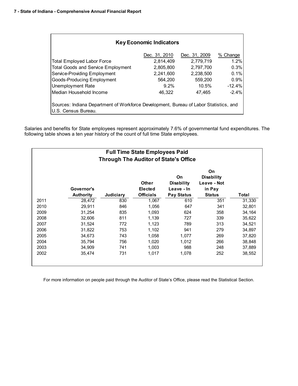| <b>Key Economic Indicators</b>                                                                               |               |               |          |  |  |  |  |  |  |  |  |
|--------------------------------------------------------------------------------------------------------------|---------------|---------------|----------|--|--|--|--|--|--|--|--|
|                                                                                                              | Dec. 31, 2010 | Dec. 31, 2009 | % Change |  |  |  |  |  |  |  |  |
| <b>Total Employed Labor Force</b>                                                                            | 2,814,409     | 2,779,719     | 1.2%     |  |  |  |  |  |  |  |  |
| <b>Total Goods and Service Employment</b>                                                                    | 2,805,800     | 2.797.700     | 0.3%     |  |  |  |  |  |  |  |  |
| Service-Providing Employment                                                                                 | 2,241,600     | 2.238.500     | 0.1%     |  |  |  |  |  |  |  |  |
| Goods-Producing Employment                                                                                   | 564.200       | 559.200       | 0.9%     |  |  |  |  |  |  |  |  |
| <b>Unemployment Rate</b>                                                                                     | 9.2%          | 10.5%         | $-12.4%$ |  |  |  |  |  |  |  |  |
| Median Household Income                                                                                      | 46,322        | 47.465        | $-2.4%$  |  |  |  |  |  |  |  |  |
| Sources: Indiana Department of Workforce Development, Bureau of Labor Statistics, and<br>U.S. Census Bureau. |               |               |          |  |  |  |  |  |  |  |  |

Salaries and benefits for State employees represent approximately 7.6% of governmental fund expenditures. The following table shows a ten year history of the count of full time State employees.

| <b>Full Time State Employees Paid</b><br><b>Through The Auditor of State's Office</b> |                                |           |                                             |                                                            |                                                                   |        |  |  |  |  |
|---------------------------------------------------------------------------------------|--------------------------------|-----------|---------------------------------------------|------------------------------------------------------------|-------------------------------------------------------------------|--------|--|--|--|--|
|                                                                                       | Governor's<br><b>Authority</b> | Judiciary | <b>Other</b><br>Elected<br><b>Officials</b> | On<br><b>Disability</b><br>Leave - In<br><b>Pay Status</b> | On<br><b>Disability</b><br>Leave - Not<br>in Pay<br><b>Status</b> | Total  |  |  |  |  |
| 2011                                                                                  | 28,472                         | 830       | 1,067                                       | 610                                                        | 351                                                               | 31,330 |  |  |  |  |
| 2010                                                                                  | 29,911                         | 846       | 1,056                                       | 647                                                        | 341                                                               | 32,801 |  |  |  |  |
| 2009                                                                                  | 31,254                         | 835       | 1,093                                       | 624                                                        | 358                                                               | 34,164 |  |  |  |  |
| 2008                                                                                  | 32,606                         | 811       | 1,139                                       | 727                                                        | 339                                                               | 35,622 |  |  |  |  |
| 2007                                                                                  | 31,524                         | 772       | 1,123                                       | 789                                                        | 313                                                               | 34,521 |  |  |  |  |
| 2006                                                                                  | 31,822                         | 753       | 1,102                                       | 941                                                        | 279                                                               | 34,897 |  |  |  |  |
| 2005                                                                                  | 34,673                         | 743       | 1,058                                       | 1,077                                                      | 269                                                               | 37,820 |  |  |  |  |
| 2004                                                                                  | 35,794                         | 756       | 1,020                                       | 1,012                                                      | 266                                                               | 38,848 |  |  |  |  |
| 2003                                                                                  | 34,909                         | 741       | 1,003                                       | 988                                                        | 248                                                               | 37,889 |  |  |  |  |
| 2002                                                                                  | 35,474                         | 731       | 1,017                                       | 1,078                                                      | 252                                                               | 38,552 |  |  |  |  |

For more information on people paid through the Auditor of State's Office, please read the Statistical Section.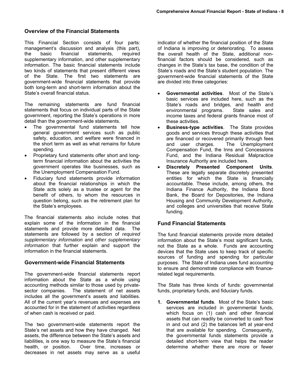## **Overview of the Financial Statements**

This Financial Section consists of four parts: management's discussion and analysis (this part), the basic financial statements, required supplementary information, and other supplementary information. The basic financial statements include two kinds of statements that present different views of the State. The first two statements are government-wide financial statements that provide both long-term and short-term information about the State's overall financial status.

The remaining statements are fund financial statements that focus on individual parts of the State government, reporting the State's operations in more detail than the government-wide statements.

- The governmental fund statements tell how general government services such as public safety, education, and welfare were financed in the short term as well as what remains for future spending.
- Proprietary fund statements offer short and longterm financial information about the activities the government operates like businesses, such as the Unemployment Compensation Fund.
- Fiduciary fund statements provide information about the financial relationships in which the State acts solely as a trustee or agent for the benefit of others, to whom the resources in question belong, such as the retirement plan for the State's employees.

The financial statements also include notes that explain some of the information in the financial statements and provide more detailed data. The statements are followed by a section of *required supplementary information* and *other supplementary information* that further explain and support the information in the financial statements.

## **Government-wide Financial Statements**

The government-wide financial statements report information about the State as a whole using accounting methods similar to those used by privatesector companies. The statement of net assets includes all the government's assets and liabilities. All of the current year's revenues and expenses are accounted for in the statement of activities regardless of when cash is received or paid.

The two government-wide statements report the State's net assets and how they have changed. Net assets, the difference between the State's assets and liabilities, is one way to measure the State's financial health, or position. Over time, increases or decreases in net assets may serve as a useful

indicator of whether the financial position of the State of Indiana is improving or deteriorating. To assess the overall health of the State, additional nonfinancial factors should be considered, such as changes in the State's tax base, the condition of the State's roads and the State's student population. The government-wide financial statements of the State are divided into three categories:

- **Governmental activities**. Most of the State's basic services are included here, such as the State's roads and bridges, and health and environmental programs. State sales and environmental programs. income taxes and federal grants finance most of these activities.
- **Business-type activities**. The State provides goods and services through these activities that are financed or recovered primarily through fees and user charges. The Unemployment Compensation Fund, the Inns and Concessions Fund, and the Indiana Residual Malpractice Insurance Authority are included here.
- **Discretely Presented Component Units**. These are legally separate discretely presented entities for which the State is financially accountable. These include, among others, the Indiana Finance Authority, the Indiana Bond Bank, the Board for Depositories, the Indiana Housing and Community Development Authority, and colleges and universities that receive State funding.

## **Fund Financial Statements**

The fund financial statements provide more detailed information about the State's most significant funds, not the State as a whole. Funds are accounting devices that the State uses to keep track of specific sources of funding and spending for particular purposes. The State of Indiana uses fund accounting to ensure and demonstrate compliance with financerelated legal requirements.

The State has three kinds of funds: governmental funds, proprietary funds, and fiduciary funds.

**1. Governmental funds**. Most of the State's basic services are included in governmental funds, which focus on (1) cash and other financial assets that can readily be converted to cash flow in and out and (2) the balances left at year-end that are available for spending. Consequently, the governmental funds statements provide a detailed short-term view that helps the reader determine whether there are more or fewer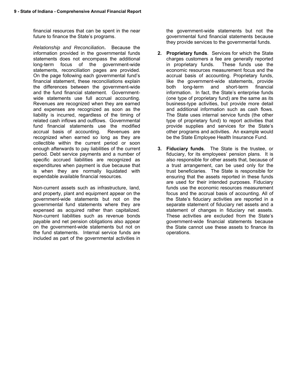financial resources that can be spent in the near future to finance the State's programs.

*Relationship and Reconciliation***.** Because the information provided in the governmental funds statements does not encompass the additional long-term focus of the government-wide statements, reconciliation pages are provided. On the page following each governmental fund's financial statement, these reconciliations explain the differences between the government-wide and the fund financial statement. Governmentwide statements use full accrual accounting. Revenues are recognized when they are earned and expenses are recognized as soon as the liability is incurred, regardless of the timing of related cash inflows and outflows. Governmental fund financial statements use the modified accrual basis of accounting. Revenues are recognized when earned so long as they are collectible within the current period or soon enough afterwards to pay liabilities of the current period. Debt service payments and a number of specific accrued liabilities are recognized as expenditures when payment is due because that is when they are normally liquidated with expendable available financial resources.

Non-current assets such as infrastructure, land, and property, plant and equipment appear on the government-wide statements but not on the governmental fund statements where they are expensed as acquired rather than capitalized. Non-current liabilities such as revenue bonds payable and net pension obligations also appear on the government-wide statements but not on the fund statements. Internal service funds are included as part of the governmental activities in

the government-wide statements but not the governmental fund financial statements because they provide services to the governmental funds.

- **2. Proprietary funds**. Services for which the State charges customers a fee are generally reported in proprietary funds. These funds use the economic resources measurement focus and the accrual basis of accounting. Proprietary funds, like the government-wide statements, provide both long-term and short-term financial information. In fact, the State's enterprise funds (one type of proprietary fund) are the same as its business-type activities, but provide more detail and additional information such as cash flows. The State uses internal service funds (the other type of proprietary fund) to report activities that provide supplies and services for the State's other programs and activities. An example would be the State Employee Health Insurance Fund.
- **3. Fiduciary funds**. The State is the trustee, or fiduciary, for its employees' pension plans. It is also responsible for other assets that, because of a trust arrangement, can be used only for the trust beneficiaries. The State is responsible for ensuring that the assets reported in these funds are used for their intended purposes. Fiduciary funds use the economic resources measurement focus and the accrual basis of accounting. All of the State's fiduciary activities are reported in a separate statement of fiduciary net assets and a statement of changes in fiduciary net assets. These activities are excluded from the State's government-wide financial statements because the State cannot use these assets to finance its operations.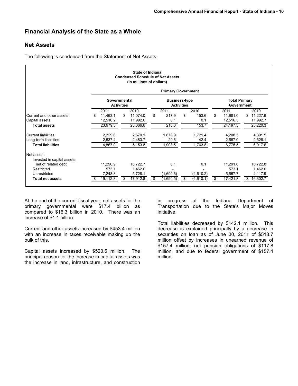# **Financial Analysis of the State as a Whole**

# **Net Assets**

The following is condensed from the Statement of Net Assets:

|                                            |     |                                   |    | State of Indiana<br><b>Condensed Schedule of Net Assets</b><br>(in millions of dollars) |    | <b>Primary Government</b> |                   |           |                                    |                |
|--------------------------------------------|-----|-----------------------------------|----|-----------------------------------------------------------------------------------------|----|---------------------------|-------------------|-----------|------------------------------------|----------------|
|                                            |     | Governmental<br><b>Activities</b> |    |                                                                                         |    | <b>Business-type</b>      | <b>Activities</b> |           | <b>Total Primary</b><br>Government |                |
|                                            |     | 2011                              |    | 2010                                                                                    |    | 2011                      |                   | 2010      | 2011                               | 2010           |
| Current and other assets                   | \$. | 11,463.1                          | \$ | 11,074.0                                                                                | \$ | 217.9                     | \$                | 153.6     | \$<br>11.681.0                     | 11,227.6<br>\$ |
| Capital assets                             |     | 12,516.2                          |    | 11,992.6                                                                                |    | 0.1                       |                   | 0.1       | 12,516.3                           | 11,992.7       |
| <b>Total assets</b>                        |     | 23.979.3                          |    | 23.066.6                                                                                |    | 218.0                     |                   | 153.7     | 24.197.3                           | 23,220.3       |
| <b>Current liabilities</b>                 |     | 2,329.6                           |    | 2,670.1                                                                                 |    | 1,878.9                   |                   | 1,721.4   | 4,208.5                            | 4,391.5        |
| Long-term liabilities                      |     | 2,537.4                           |    | 2,483.7                                                                                 |    | 29.6                      |                   | 42.4      | 2,567.0                            | 2,526.1        |
| <b>Total liabilities</b>                   |     | 4,867.0                           |    | 5,153.8                                                                                 |    | 1,908.5                   |                   | 1,763.8   | 6,775.5                            | 6,917.6        |
| Net assets:<br>Invested in capital assets, |     |                                   |    |                                                                                         |    |                           |                   |           |                                    |                |
| net of related debt                        |     | 11,290.9                          |    | 10,722.7                                                                                |    | 0.1                       |                   | 0.1       | 11,291.0                           | 10,722.8       |
| Restricted                                 |     | 573.1                             |    | 1,462.0                                                                                 |    |                           |                   |           | 573.1                              | 1,462.0        |
| Unrestricted                               |     | 7,248.3                           |    | 5,728.1                                                                                 |    | (1,690.6)                 |                   | (1,610.2) | 5,557.7                            | 4,117.9        |
| <b>Total net assets</b>                    | æ.  | $19,1\overline{12.3}$             | S  | 17,912.8                                                                                | S  | (1,690.5)                 | \$                | (1,610.1) | \$<br>17,421.8                     | 16,302.7<br>S  |

At the end of the current fiscal year, net assets for the primary governmental were \$17.4 billion as compared to \$16.3 billion in 2010. There was an increase of \$1.1 billion.

Current and other assets increased by \$453.4 million with an increase in taxes receivable making up the bulk of this.

Capital assets increased by \$523.6 million. The principal reason for the increase in capital assets was the increase in land, infrastructure, and construction

in progress at the Indiana Department of Transportation due to the State's Major Moves initiative.

Total liabilities decreased by \$142.1 million. This decrease is explained principally by a decrease in securities on loan as of June 30, 2011 of \$518.7 million offset by increases in unearned revenue of \$157.4 million, net pension obligations of \$117.8 million, and due to federal government of \$157.4 million.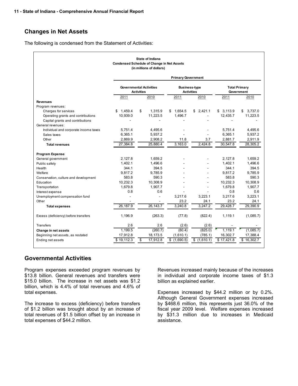# **Changes in Net Assets**

The following is condensed from the Statement of Activities:

| State of Indiana<br><b>Condensed Schedule of Change in Net Assets</b><br>(in millions of dollars) |                                                                                                                                        |                |               |             |            |               |  |  |  |  |  |
|---------------------------------------------------------------------------------------------------|----------------------------------------------------------------------------------------------------------------------------------------|----------------|---------------|-------------|------------|---------------|--|--|--|--|--|
|                                                                                                   | <b>Primary Government</b>                                                                                                              |                |               |             |            |               |  |  |  |  |  |
|                                                                                                   | <b>Governmental Activities</b><br><b>Business-type</b><br><b>Total Primary</b><br><b>Activities</b><br><b>Activities</b><br>Government |                |               |             |            |               |  |  |  |  |  |
|                                                                                                   | 2011                                                                                                                                   | 2010           | 2011          | 2010        | 2011       | 2010          |  |  |  |  |  |
| <b>Revenues</b>                                                                                   |                                                                                                                                        |                |               |             |            |               |  |  |  |  |  |
| Program revenues:                                                                                 |                                                                                                                                        |                |               |             |            |               |  |  |  |  |  |
| Charges for services                                                                              | 1.459.4<br>\$                                                                                                                          | \$<br>1.315.9  | 1.654.5<br>\$ | \$2.421.1   | \$3,113.9  | 3,737.0<br>\$ |  |  |  |  |  |
| Operating grants and contributions                                                                | 10,939.0                                                                                                                               | 11,223.5       | 1.496.7       |             | 12.435.7   | 11,223.5      |  |  |  |  |  |
| Capital grants and contributions<br>General revenues:                                             |                                                                                                                                        |                |               |             |            |               |  |  |  |  |  |
| Individual and corporate income taxes                                                             | 5,751.4                                                                                                                                | 4,495.6        |               |             | 5,751.4    | 4,495.6       |  |  |  |  |  |
| Sales taxes                                                                                       | 6,365.1                                                                                                                                | 5,937.2        |               |             | 6,365.1    | 5,937.2       |  |  |  |  |  |
| Other                                                                                             | 2,869.9                                                                                                                                | 2,908.2        | 11.8          | 3.7         | 2,881.7    | 2,911.9       |  |  |  |  |  |
| <b>Total revenues</b>                                                                             | 27,384.8                                                                                                                               | 25,880.4       | 3,163.0       | 2,424.8     | 30,547.8   | 28,305.2      |  |  |  |  |  |
|                                                                                                   |                                                                                                                                        |                |               |             |            |               |  |  |  |  |  |
| Program Expense<br>General government                                                             | 2.127.8                                                                                                                                | 1.659.2        |               |             | 2.127.8    | 1.659.2       |  |  |  |  |  |
| Public safety                                                                                     | 1.402.1                                                                                                                                | 1,496.6        |               |             | 1,402.1    | 1,496.6       |  |  |  |  |  |
| Health                                                                                            | 344.1                                                                                                                                  | 394.5          |               |             | 344.1      | 394.5         |  |  |  |  |  |
| Welfare                                                                                           | 9.817.2                                                                                                                                | 9.785.9        |               |             | 9.817.2    | 9.785.9       |  |  |  |  |  |
| Conservation, culture and development                                                             | 583.8                                                                                                                                  | 590.3          |               |             | 583.8      | 590.3         |  |  |  |  |  |
| Education                                                                                         | 10,232.3                                                                                                                               | 10,308.9       |               |             | 10,232.3   | 10,308.9      |  |  |  |  |  |
| Transportation                                                                                    | 1,679.8                                                                                                                                | 1,907.7        |               |             | 1,679.8    | 1,907.7       |  |  |  |  |  |
| Interest expense                                                                                  | 0.8                                                                                                                                    | 0.6            |               |             | 0.8        | 0.6           |  |  |  |  |  |
| Unemployment compensation fund                                                                    |                                                                                                                                        | ÷,             | 3,217.6       | 3,223.1     | 3,217.6    | 3.223.1       |  |  |  |  |  |
| Other                                                                                             |                                                                                                                                        |                | 23.2          | 24.1        | 23.2       | 24.1          |  |  |  |  |  |
| <b>Total expenses</b>                                                                             | 26.187.9                                                                                                                               | 26.143.7       | 3.240.8       | 3.247.2     | 29,428.7   | 29,390.9      |  |  |  |  |  |
| Excess (deficiency) before transfers                                                              | 1,196.9                                                                                                                                | (263.3)        | (77.8)        | (822.4)     | 1,119.1    | (1,085.7)     |  |  |  |  |  |
| Transfers                                                                                         | 2.6                                                                                                                                    | 2.6            | (2.6)         | (2.6)       |            |               |  |  |  |  |  |
| Change in net assets                                                                              | 1.199.5                                                                                                                                | (260.7)        | (80.4)        | (825.0)     | 1.119.1    | (1,085.7)     |  |  |  |  |  |
| Beginning net assets, as restated                                                                 | 17,912.8                                                                                                                               | 18,173.5       | (1,610.1)     | (785.1)     | 16,302.7   | 17,388.4      |  |  |  |  |  |
| Ending net assets                                                                                 | \$19,112.3                                                                                                                             | \$<br>17,912.8 | \$(1,690.5)   | \$(1,610.1) | \$17,421.8 | \$16,302.7    |  |  |  |  |  |

## **Governmental Activities**

Program expenses exceeded program revenues by \$13.8 billion. General revenues and transfers were \$15.0 billion. The increase in net assets was \$1.2 billion, which is 4.4% of total revenues and 4.6% of total expenses.

The increase to excess (deficiency) before transfers of \$1.2 billion was brought about by an increase of total revenues of \$1.5 billion offset by an increase in total expenses of \$44.2 million.

Revenues increased mainly because of the increases in individual and corporate income taxes of \$1.3 billion as explained earlier.

Expenses increased by \$44.2 million or by 0.2%. Although General Government expenses increased by \$468.6 million, this represents just 36.0% of the fiscal year 2009 level. Welfare expenses increased by \$31.3 million due to increases in Medicaid assistance.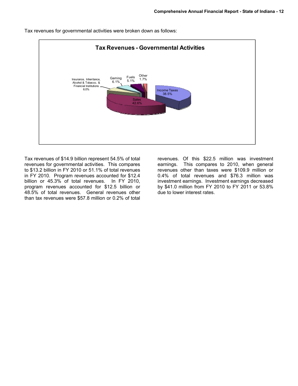

Tax revenues for governmental activities were broken down as follows:

Tax revenues of \$14.9 billion represent 54.5% of total revenues for governmental activities. This compares to \$13.2 billion in FY 2010 or 51.1% of total revenues in FY 2010. Program revenues accounted for \$12.4 billion or 45.3% of total revenues. In FY 2010, program revenues accounted for \$12.5 billion or 48.5% of total revenues. General revenues other than tax revenues were \$57.8 million or 0.2% of total

revenues. Of this \$22.5 million was investment earnings. This compares to 2010, when general revenues other than taxes were \$109.9 million or 0.4% of total revenues and \$76.3 million was investment earnings. Investment earnings decreased by \$41.0 million from FY 2010 to FY 2011 or 53.8% due to lower interest rates.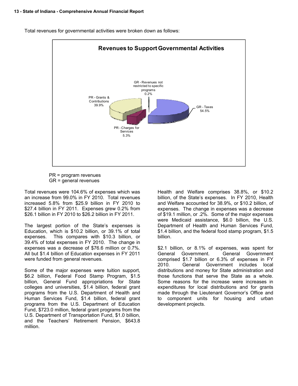

Total revenues for governmental activities were broken down as follows:

 PR = program revenues GR = general revenues

Total revenues were 104.6% of expenses which was an increase from 99.0% in FY 2010. Total revenues increased 5.8% from \$25.9 billion in FY 2010 to \$27.4 billion in FY 2011. Expenses grew 0.2% from \$26.1 billion in FY 2010 to \$26.2 billion in FY 2011.

The largest portion of the State's expenses is Education, which is \$10.2 billion, or 39.1% of total expenses. This compares with \$10.3 billion, or 39.4% of total expenses in FY 2010. The change in expenses was a decrease of \$76.6 million or 0.7%. All but \$1.4 billion of Education expenses in FY 2011 were funded from general revenues.

Some of the major expenses were tuition support, \$6.2 billion, Federal Food Stamp Program, \$1.5 billion, General Fund appropriations for State colleges and universities, \$1.4 billion, federal grant programs from the U.S. Department of Health and Human Services Fund, \$1.4 billion, federal grant programs from the U.S. Department of Education Fund, \$723.0 million, federal grant programs from the U.S. Department of Transportation Fund, \$1.0 billion, and the Teachers' Retirement Pension, \$643.8 million.

Health and Welfare comprises 38.8%, or \$10.2 billion, of the State's expenses. In FY 2010, Health and Welfare accounted for 38.9%, or \$10.2 billion, of expenses. The change in expenses was a decrease of \$19.1 million, or .2%. Some of the major expenses were Medicaid assistance, \$6.0 billion, the U.S. Department of Health and Human Services Fund, \$1.4 billion, and the federal food stamp program, \$1.5 billion.

\$2.1 billion, or 8.1% of expenses, was spent for General Government. General Government comprised \$1.7 billion or 6.3% of expenses in FY 2010. General Government includes local distributions and money for State administration and those functions that serve the State as a whole. Some reasons for the increase were increases in expenditures for local distributions and for grants made through the Lieutenant Governor's Office and to component units for housing and urban development projects.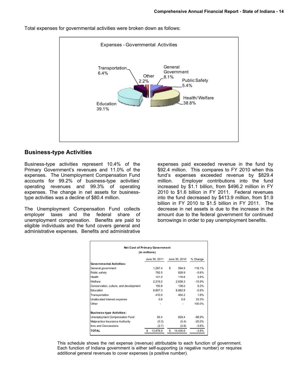

Total expenses for governmental activities were broken down as follows:

## **Business-type Activities**

Business-type activities represent 10.4% of the Primary Government's revenues and 11.0% of the expenses. The Unemployment Compensation Fund accounts for 99.2% of business-type activities' operating revenues and 99.3% of operating expenses. The change in net assets for businesstype activities was a decline of \$80.4 million.

The Unemployment Compensation Fund collects employer taxes and the federal share of unemployment compensation. Benefits are paid to eligible individuals and the fund covers general and administrative expenses. Benefits and administrative

expenses paid exceeded revenue in the fund by \$92.4 million. This compares to FY 2010 when this fund's expenses exceeded revenue by \$829.4 million. Employer contributions into the fund increased by \$1.1 billion, from \$496.2 million in FY 2010 to \$1.6 billion in FY 2011. Federal revenues into the fund decreased by \$413.9 million, from \$1.9 billion in FY 2010 to \$1.5 billion in FY 2011. The decrease in net assets is due to the increase in the amount due to the federal government for continued borrowings in order to pay unemployment benefits.

| Net Cost of Primary Government<br>(in millions) |    |               |    |               |          |  |  |  |  |  |
|-------------------------------------------------|----|---------------|----|---------------|----------|--|--|--|--|--|
|                                                 |    | June 30, 2011 |    | June 30, 2010 | % Change |  |  |  |  |  |
| <b>Governmental Activities:</b>                 |    |               |    |               |          |  |  |  |  |  |
| General government                              |    | 1,297.4       | \$ | 594.9         | 118.1%   |  |  |  |  |  |
| Public safety                                   |    | 782.5         |    | 828.9         | $-5.6%$  |  |  |  |  |  |
| Health                                          |    | 121.0         |    | 116.6         | 3.8%     |  |  |  |  |  |
| Welfare                                         |    | 2.219.2       |    | 2.638.3       | $-15.9%$ |  |  |  |  |  |
| Conservation, culture, and development          |    | 150.8         |    | 138.0         | 9.3%     |  |  |  |  |  |
| Education                                       |    | 8,807.3       |    | 8,882.9       | $-0.9%$  |  |  |  |  |  |
| Transportation                                  |    | 410.5         |    | 404.2         | 1.6%     |  |  |  |  |  |
| Unallocated interest expense                    |    | 0.8           |    | 0.6           | 33.3%    |  |  |  |  |  |
| Other                                           |    |               |    |               | 100.0%   |  |  |  |  |  |
| <b>Business-type Activities:</b>                |    |               |    |               |          |  |  |  |  |  |
| Unemployment Compensation Fund                  |    | 92.4          |    | 829.4         | $-88.9%$ |  |  |  |  |  |
| Malpractice Insurance Authority                 |    | (0.3)         |    | (0.4)         | $-25.0%$ |  |  |  |  |  |
| Inns and Concessions                            |    | (2.7)         |    | (2.8)         | $-3.6\%$ |  |  |  |  |  |
| <b>TOTAL</b>                                    | \$ | 13,878.9      | \$ | 14,430.6      | $-3.8%$  |  |  |  |  |  |

This schedule shows the net expense (revenue) attributable to each function of government. Each function of Indiana government is either self-supporting (a negative number) or requires additional general revenues to cover expenses (a positive number).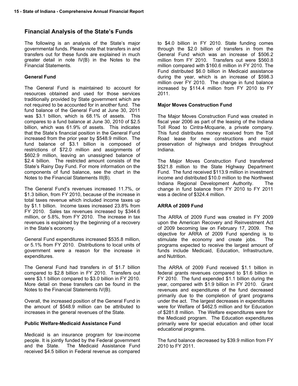# **Financial Analysis of the State's Funds**

The following is an analysis of the State's major governmental funds. Please note that transfers in and transfers out for these funds are explained in much greater detail in note IV(B) in the Notes to the Financial Statements.

# **General Fund**

The General Fund is maintained to account for resources obtained and used for those services traditionally provided by State government which are not required to be accounted for in another fund. The fund balance of the General Fund at June 30, 2011 was \$3.1 billion, which is 68.1% of assets. This compares to a fund balance at June 30, 2010 of \$2.5 billion, which was 61.9% of assets. This indicates that the State's financial position in the General Fund increased from the prior year by \$548.9 million. The fund balance of \$3.1 billion is composed of restrictions of \$72.0 million and assignments of \$602.9 million, leaving an unassigned balance of \$2.4 billion. The restricted amount consists of the State's Rainy Day Fund. For more information on the components of fund balance, see the chart in the Notes to the Financial Statements III(B).

The General Fund's revenues increased 11.7%, or \$1.3 billion, from FY 2010, because of the increase in total taxes revenue which included income taxes up by \$1.1 billion. Income taxes increased 23.8% from FY 2010. Sales tax revenues increased by \$344.6 million, or 5.8%, from FY 2010. The increase in tax revenues is explained by the beginning of a recovery in the State's economy.

General Fund expenditures increased \$535.8 million, or 5.1% from FY 2010. Distributions to local units of government were a reason for the increase in expenditures.

The General Fund had transfers in of \$1.7 billion compared to \$2.8 billion in FY 2010. Transfers out were \$3.1 billion compared to \$3.0 billion in FY 2010. More detail on these transfers can be found in the Notes to the Financial Statements IV(B).

Overall, the increased position of the General Fund in the amount of \$548.9 million can be attributed to increases in the general revenues of the State.

# **Public Welfare-Medicaid Assistance Fund**

Medicaid is an insurance program for low-income people. It is jointly funded by the Federal government and the State. The Medicaid Assistance Fund received \$4.5 billion in Federal revenue as compared

to \$4.0 billion in FY 2010. State funding comes through the \$2.0 billion of transfers in from the General Fund which was an increase of \$506.2 million from FY 2010. Transfers out were \$560.8 million compared with \$160.6 million in FY 2010. The Fund distributed \$6.0 billion in Medicaid assistance during the year, which is an increase of \$598.3 million over FY 2010. The change in fund balance increased by \$114.4 million from FY 2010 to FY 2011.

## **Major Moves Construction Fund**

The Major Moves Construction Fund was created in fiscal year 2006 as part of the leasing of the Indiana Toll Road to Cintra-Mcquarie, a private company. This fund distributes money received from the Toll Road lease for new constructions and major preservation of highways and bridges throughout Indiana.

The Major Moves Construction Fund transferred \$521.8 million to the State Highway Department Fund. The fund received \$113.9 million in investment income and distributed \$10.0 million to the Northwest Indiana Regional Development Authority. The change in fund balance from FY 2010 to FY 2011 was a decline of \$324.4 million.

# **ARRA of 2009 Fund**

The ARRA of 2009 Fund was created in FY 2009 upon the American Recovery and Reinvestment Act of 2009 becoming law on February 17, 2009. The objective for ARRA of 2009 Fund spending is to stimulate the economy and create jobs. The programs expected to receive the largest amount of funds include Medicaid, Education, Infrastructure, and Nutrition.

The ARRA of 2009 Fund received \$1.1 billion in federal grants revenues compared to \$1.6 billion in FY 2010. The fund expended \$1.1 billion during the year, compared with \$1.9 billion in FY 2010. Grant revenues and expenditures of the fund decreased primarily due to the completion of grant programs under the act. The largest decreases in expenditures were for Welfare of \$462.5 million and for Education of \$281.8 million. The Welfare expenditures were for the Medicaid program. The Education expenditures primarily were for special education and other local educational programs.

The fund balance decreased by \$39.9 million from FY 2010 to FY 2011.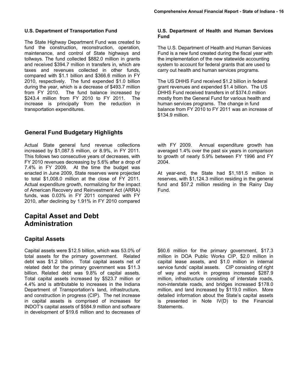#### **U.S. Department of Transportation Fund**

The State Highway Department Fund was created to fund the construction, reconstruction, operation, maintenance, and control of State highways and tollways. The fund collected \$882.0 million in grants and received \$394.7 million in transfers in, which are taxes and revenues collected in other funds, compared with \$1.1 billion and \$366.6 million in FY 2010, respectively. The fund expended \$1.0 billion during the year, which is a decrease of \$493.7 million from FY 2010. The fund balance increased by \$243.4 million from FY 2010 to FY 2011. The increase is principally from the reduction in transportation expenditures.

# **General Fund Budgetary Highlights**

Actual State general fund revenue collections increased by \$1,087.5 million, or 8.9%, in FY 2011. This follows two consecutive years of decreases, with FY 2010 revenues decreasing by 5.6% after a drop of 7.4% in FY 2009. At the time the budget was enacted in June 2009, State reserves were projected to total \$1,008.0 million at the close of FY 2011. Actual expenditure growth, normalizing for the impact of American Recovery and Reinvestment Act (ARRA) funds, was 0.03% in FY 2011 compared with FY 2010, after declining by 1.91% in FY 2010 compared

# **Capital Asset and Debt Administration**

# **Capital Assets**

Capital assets were \$12.5 billion, which was 53.0% of total assets for the primary government. Related debt was \$1.2 billion. Total capital assets net of related debt for the primary government was \$11.3 billion. Related debt was 9.8% of capital assets. Total capital assets increased by \$523.7 million or 4.4% and is attributable to increases in the Indiana Department of Transportation's land, infrastructure, and construction in progress (CIP). The net increase in capital assets is comprised of increases for INDOT's capital assets of \$584.9 million and software in development of \$19.6 million and to decreases of

#### **U.S. Department of Health and Human Services Fund**

The U.S. Department of Health and Human Services Fund is a new fund created during the fiscal year with the implementation of the new statewide accounting system to account for federal grants that are used to carry out health and human services programs.

The US DHHS Fund received \$1.2 billion in federal grant revenues and expended \$1.4 billion. The US DHHS Fund received transfers in of \$374.0 million mostly from the General Fund for various health and human services programs. The change in fund balance from FY 2010 to FY 2011 was an increase of \$134.9 million.

with FY 2009. Annual expenditure growth has averaged 1.4% over the past six years in comparison to growth of nearly 5.9% between FY 1996 and FY 2004.

At year-end, the State had \$1,181.5 million in reserves, with \$1,124.3 million residing in the general fund and \$57.2 million residing in the Rainy Day Fund.

\$60.6 million for the primary government, \$17.3 million in DOA Public Works CIP, \$2.0 million in capital lease assets, and \$1.0 million in internal service funds' capital assets. CIP consisting of right of way and work in progress increased \$287.9 million, infrastructure consisting of interstate roads, non-interstate roads, and bridges increased \$178.0 million, and land increased by \$119.0 million. More detailed information about the State's capital assets is presented in Note IV(D) to the Financial Statements.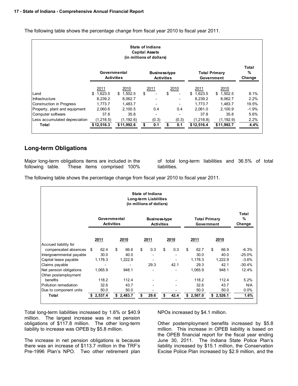The following table shows the percentage change from fiscal year 2010 to fiscal year 2011.

| State of Indiana<br><b>Capital Assets</b><br>(in millions of dollars) |                                   |               |                                           |       |            |                                    |         |  |  |
|-----------------------------------------------------------------------|-----------------------------------|---------------|-------------------------------------------|-------|------------|------------------------------------|---------|--|--|
|                                                                       | Governmental<br><b>Activities</b> |               | <b>Business-type</b><br><b>Activities</b> |       |            | <b>Total Primary</b><br>Government |         |  |  |
|                                                                       | 2011                              | 2010          | 2011                                      | 2010  | 2011       | 2010                               |         |  |  |
| Land                                                                  | 1,623.5<br>\$                     | 1,502.5<br>\$ | \$                                        | \$    | \$1,623.5  | \$1,502.5                          | 8.1%    |  |  |
| Infrastructure                                                        | 8,239.2                           | 8,062.7       | $\overline{\phantom{a}}$                  |       | 8,239.2    | 8,062.7                            | 2.2%    |  |  |
| Construction in Progress                                              | 1.773.7                           | 1.483.7       | $\overline{\phantom{a}}$                  |       | 1.773.7    | 1,483.7                            | 19.5%   |  |  |
| Property, plant and equipment                                         | 2,060.6                           | 2,100.5       | 0.4                                       | 0.4   | 2.061.0    | 2,100.9                            | $-1.9%$ |  |  |
| Computer software                                                     | 37.8                              | 35.8          | $\overline{\phantom{0}}$                  |       | 37.8       | 35.8                               | 5.6%    |  |  |
| Less accumulated depreciation                                         | (1,218.5)                         | (1, 192.6)    | (0.3)                                     | (0.3) | (1, 218.8) | (1, 192.9)                         | 2.2%    |  |  |
| Total                                                                 | \$12,516.3                        | \$11,992.6    | \$<br>0.1                                 | 0.1   | \$12,516.4 | \$11,992.7                         | 4.4%    |  |  |

# **Long-term Obligations**

Major long-term obligations items are included in the following table. These items comprised 100%

of total long-term liabilities and 36.5% of total liabilities.

The following table shows the percentage change from fiscal year 2010 to fiscal year 2011.

| State of Indiana<br>Long-term Liabilities<br>(in millions of dollars) |              |                                   |           |                                           |                                    |                      |          |  |  |
|-----------------------------------------------------------------------|--------------|-----------------------------------|-----------|-------------------------------------------|------------------------------------|----------------------|----------|--|--|
|                                                                       |              | Governmental<br><b>Activities</b> |           | <b>Business-type</b><br><b>Activities</b> | <b>Total Primary</b><br>Government | Total<br>%<br>Change |          |  |  |
|                                                                       | 2011         | 2010                              | 2011      | 2010                                      | 2011                               | 2010                 |          |  |  |
| Accrued liability for<br>compensated absences                         | 62.4<br>S    | \$<br>66.6                        | \$<br>0.3 | \$<br>0.3                                 | \$<br>62.7                         | \$<br>66.9           | $-6.3%$  |  |  |
| Intergovernmental payable                                             | 30.0         | 40.0                              |           |                                           | 30.0                               | 40.0                 | $-25.0%$ |  |  |
| Capital lease payable                                                 | 1,178.3      | 1,222.9                           |           |                                           | 1,178.3                            | 1,222.9              | $-3.6%$  |  |  |
| Claims payable                                                        |              |                                   | 29.3      | 42.1                                      | 29.3                               | 42.1                 | $-30.4%$ |  |  |
| Net pension obligations                                               | 1,065.9      | 948.1                             |           |                                           | 1,065.9                            | 948.1                | 12.4%    |  |  |
| Other postemployment                                                  |              |                                   |           |                                           |                                    |                      |          |  |  |
| benefits                                                              | 118.2        | 112.4                             |           |                                           | 118.2                              | 112.4                | 5.2%     |  |  |
| Pollution remediation                                                 | 32.6         | 43.7                              |           |                                           | 32.6                               | 43.7                 | N/A      |  |  |
| Due to component units                                                | 50.0         | 50.0                              |           |                                           | 50.0                               | 50.0                 | $0.0\%$  |  |  |
| Total                                                                 | 2,537.4<br>S | \$2,483.7                         | 29.6      | 42.4                                      | 2,567.0<br>S                       | 2,526.1<br>\$        | 1.6%     |  |  |

Total long-term liabilities increased by 1.6% or \$40.9 million. The largest increase was in net pension obligations of \$117.8 million. The other long-term liability to increase was OPEB by \$5.8 million.

The increase in net pension obligations is because there was an increase of \$113.7 million in the TRF's Pre-1996 Plan's NPO. Two other retirement plan NPOs increased by \$4.1 million.

Other postemployment benefits increased by \$5.8 million. This increase in OPEB liability is based on the OPEB financial report for the fiscal year ending June 30, 2011. The Indiana State Police Plan's liability increased by \$15.1 million, the Conservation Excise Police Plan increased by \$2.9 million, and the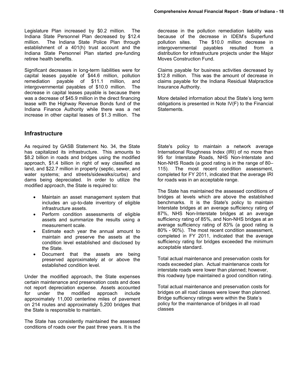Legislature Plan increased by \$0.2 million. The Indiana State Personnel Plan decreased by \$12.4 million. The Indiana State Police Plan through establishment of a 401(h) trust account and the Indiana State Personnel Plan started pre-funding retiree health benefits.

Significant decreases in long-term liabilities were for capital leases payable of \$44.6 million, pollution remediation payable of \$11.1 million, and intergovernmental payables of \$10.0 million. The decrease in capital leases payable is because there was a decrease of \$45.9 million in the direct financing lease with the Highway Revenue Bonds fund of the Indiana Finance Authority while there was a net increase in other capital leases of \$1.3 million. The

## **Infrastructure**

As required by GASB Statement No. 34, the State has capitalized its infrastructure. This amounts to \$8.2 billion in roads and bridges using the modified approach, \$1.4 billion in right of way classified as land, and \$22.7 million in property (septic, sewer, and water systems; and streets/sidewalks/curbs) and dams being depreciated. In order to utilize the modified approach, the State is required to:

- Maintain an asset management system that includes an up-to-date inventory of eligible infrastructure assets.
- Perform condition assessments of eligible assets and summarize the results using a measurement scale.
- Estimate each year the annual amount to maintain and preserve the assets at the condition level established and disclosed by the State.
- Document that the assets are being preserved approximately at or above the established condition level.

Under the modified approach, the State expenses certain maintenance and preservation costs and does not report depreciation expense. Assets accounted for under the modified approach include approximately 11,000 centerline miles of pavement on 214 routes and approximately 5,200 bridges that the State is responsible to maintain.

The State has consistently maintained the assessed conditions of roads over the past three years. It is the

decrease in the pollution remediation liability was because of the decrease in IDEM's Superfund pollution sites. The \$10.0 million decrease in intergovernmental payables resulted from a distribution for infrastructure projects under the Major Moves Construction Fund.

Claims payable for business activities decreased by \$12.8 million. This was the amount of decrease in claims payable for the Indiana Residual Malpractice Insurance Authority.

More detailed information about the State's long term obligations is presented in Note IV(F) to the Financial Statements.

State's policy to maintain a network average International Roughness Index (IRI) of no more than 95 for Interstate Roads, NHS Non-Interstate and Non-NHS Roads (a good rating is in the range of 80– 115). The most recent condition assessment, completed for FY 2011, indicated that the average IRI for roads was in an acceptable range.

The State has maintained the assessed conditions of bridges at levels which are above the established benchmarks. It is the State's policy to maintain Interstate bridges at an average sufficiency rating of 87%, NHS Non-Interstate bridges at an average sufficiency rating of 85%, and Non-NHS bridges at an average sufficiency rating of 83% (a good rating is 80% - 90%). The most recent condition assessment, completed in FY 2011, indicated that the average sufficiency rating for bridges exceeded the minimum acceptable standard.

Total actual maintenance and preservation costs for roads exceeded plan. Actual maintenance costs for interstate roads were lower than planned; however, this roadway type maintained a good condition rating.

Total actual maintenance and preservation costs for bridges on all road classes were lower than planned. Bridge sufficiency ratings were within the State's policy for the maintenance of bridges in all road classes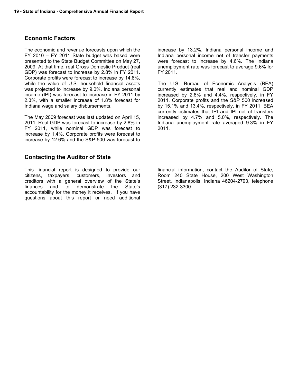## **Economic Factors**

The economic and revenue forecasts upon which the FY 2010 – FY 2011 State budget was based were presented to the State Budget Committee on May 27, 2009. At that time, real Gross Domestic Product (real GDP) was forecast to increase by 2.8% in FY 2011. Corporate profits were forecast to increase by 14.8%, while the value of U.S. household financial assets was projected to increase by 9.0%. Indiana personal income (IPI) was forecast to increase in FY 2011 by 2.3%, with a smaller increase of 1.8% forecast for Indiana wage and salary disbursements.

The May 2009 forecast was last updated on April 15, 2011. Real GDP was forecast to increase by 2.8% in FY 2011, while nominal GDP was forecast to increase by 1.4%. Corporate profits were forecast to increase by 12.6% and the S&P 500 was forecast to

## **Contacting the Auditor of State**

This financial report is designed to provide our citizens, taxpayers, customers, investors and creditors with a general overview of the State's finances and to demonstrate the State's accountability for the money it receives. If you have questions about this report or need additional

increase by 13.2%. Indiana personal income and Indiana personal income net of transfer payments were forecast to increase by 4.6%. The Indiana unemployment rate was forecast to average 9.6% for FY 2011.

The U.S. Bureau of Economic Analysis (BEA) currently estimates that real and nominal GDP increased by 2.6% and 4.4%, respectively, in FY 2011. Corporate profits and the S&P 500 increased by 15.1% and 13.4%, respectively, in FY 2011. BEA currently estimates that IPI and IPI net of transfers increased by 4.7% and 5.0%, respectively. The Indiana unemployment rate averaged 9.3% in FY 2011.

financial information, contact the Auditor of State, Room 240 State House, 200 West Washington Street, Indianapolis, Indiana 46204-2793, telephone (317) 232-3300.